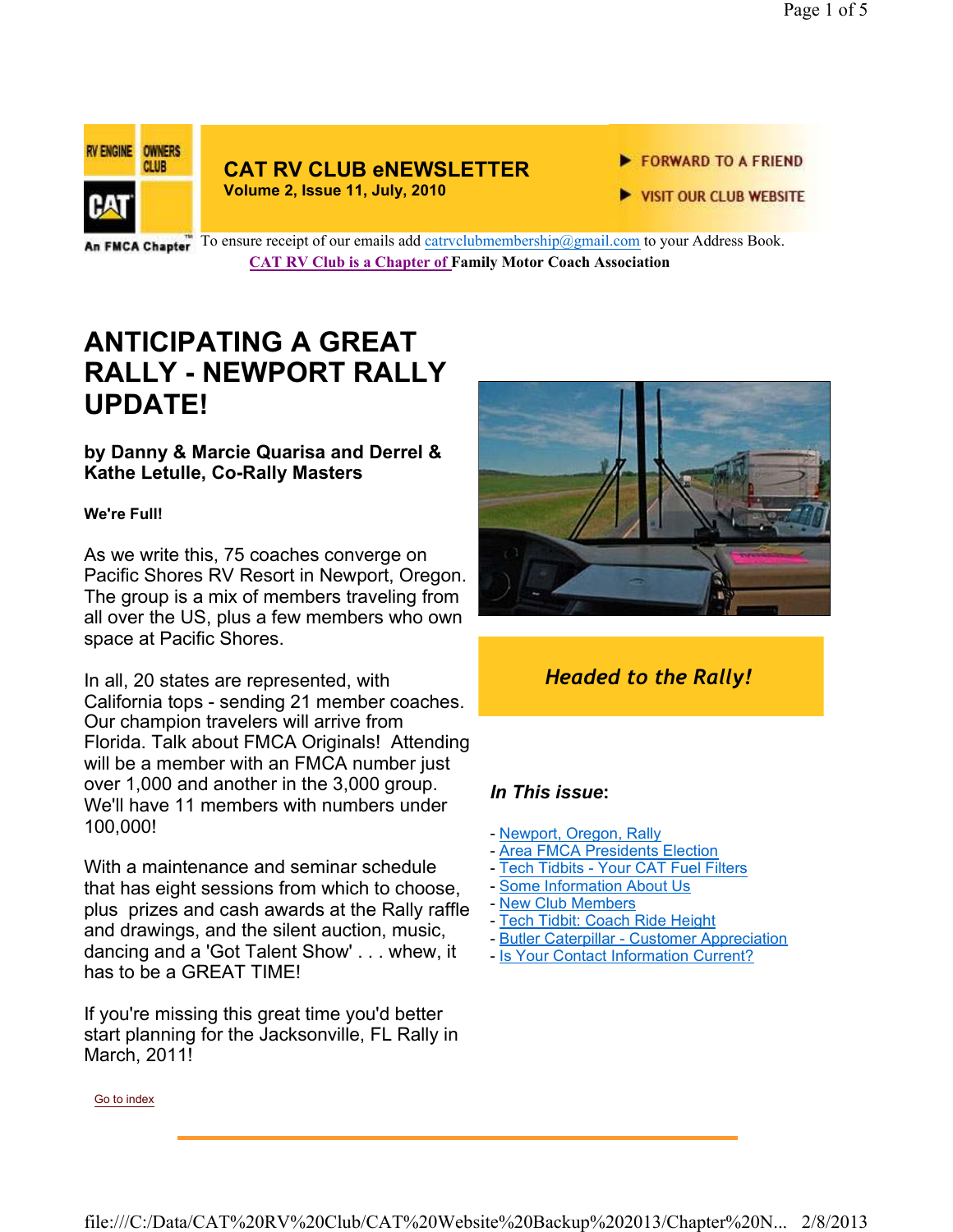

## **CAT RV CLUB eNEWSLETTER**

**Volume 2, Issue 11, July, 2010**

FORWARD TO A FRIEND

VISIT OUR CLUB WEBSITE

An FMCA Chapter<sup>"</sup> To ensure receipt of our emails add catrvclubmembership@gmail.com to your Address Book. **CAT RV Club is a Chapter of Family Motor Coach Association** 

## **ANTICIPATING A GREAT RALLY - NEWPORT RALLY UPDATE!**

#### **by Danny & Marcie Quarisa and Derrel & Kathe Letulle, Co-Rally Masters**

#### **We're Full!**

As we write this, 75 coaches converge on Pacific Shores RV Resort in Newport, Oregon. The group is a mix of members traveling from all over the US, plus a few members who own space at Pacific Shores.

In all, 20 states are represented, with California tops - sending 21 member coaches. Our champion travelers will arrive from Florida. Talk about FMCA Originals! Attending will be a member with an FMCA number just over 1,000 and another in the 3,000 group. We'll have 11 members with numbers under 100,000!

With a maintenance and seminar schedule that has eight sessions from which to choose, plus prizes and cash awards at the Rally raffle and drawings, and the silent auction, music, dancing and a 'Got Talent Show' . . . whew, it has to be a GREAT TIME!

If you're missing this great time you'd better start planning for the Jacksonville, FL Rally in March, 2011!



### *Headed to the Rally!*

#### *In This issue***:**

- Newport, Oregon, Rally
- Area FMCA Presidents Election
- Tech Tidbits Your CAT Fuel Filters
- Some Information About Us
- New Club Members
- Tech Tidbit: Coach Ride Height
- Butler Caterpillar Customer Appreciation
- Is Your Contact Information Current?

Go to index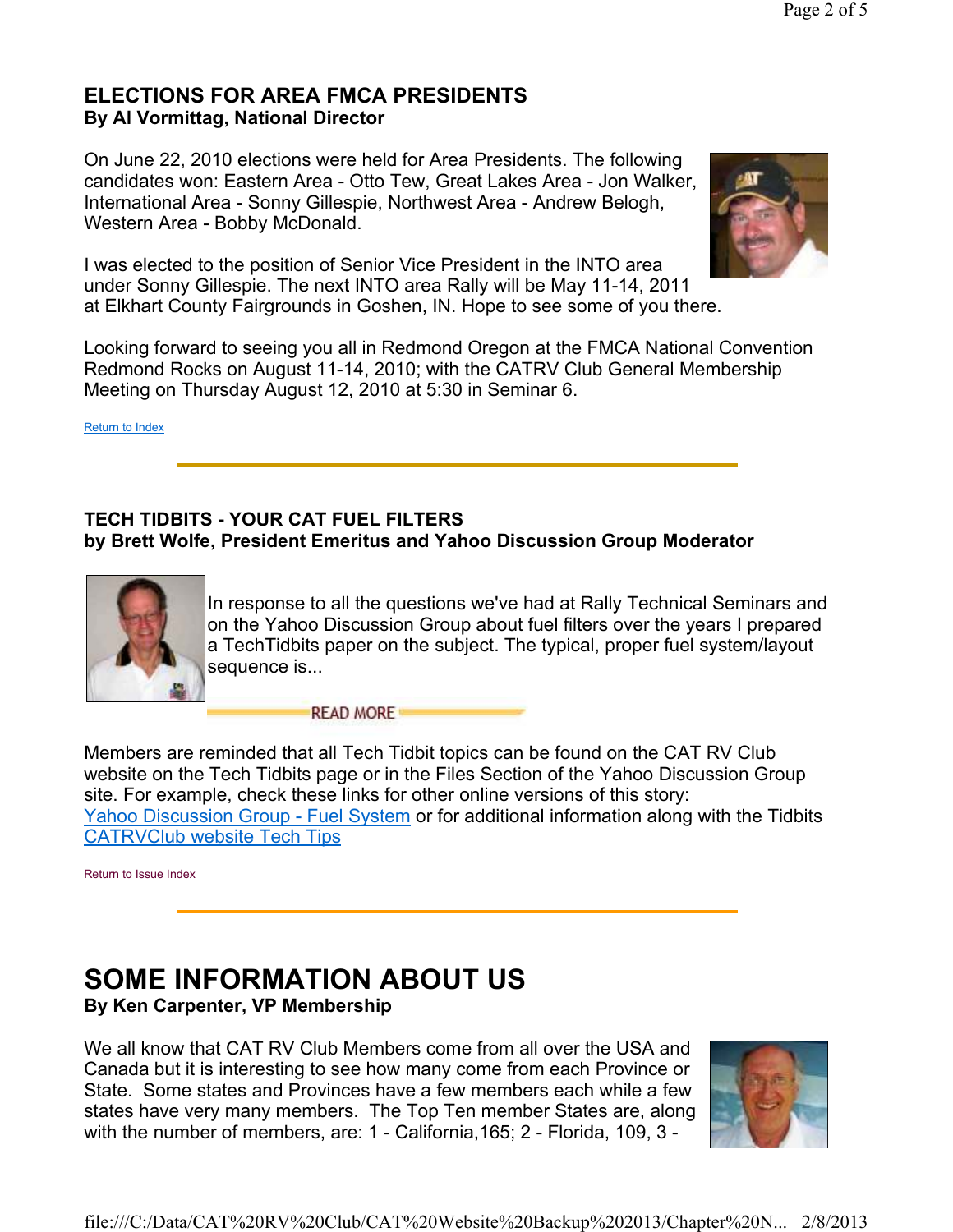#### **ELECTIONS FOR AREA FMCA PRESIDENTS By Al Vormittag, National Director**

On June 22, 2010 elections were held for Area Presidents. The following candidates won: Eastern Area - Otto Tew, Great Lakes Area - Jon Walker, International Area - Sonny Gillespie, Northwest Area - Andrew Belogh, Western Area - Bobby McDonald.



I was elected to the position of Senior Vice President in the INTO area under Sonny Gillespie. The next INTO area Rally will be May 11-14, 2011 at Elkhart County Fairgrounds in Goshen, IN. Hope to see some of you there.

Looking forward to seeing you all in Redmond Oregon at the FMCA National Convention Redmond Rocks on August 11-14, 2010; with the CATRV Club General Membership Meeting on Thursday August 12, 2010 at 5:30 in Seminar 6.

Return to Index

#### **TECH TIDBITS - YOUR CAT FUEL FILTERS by Brett Wolfe, President Emeritus and Yahoo Discussion Group Moderator**



In response to all the questions we've had at Rally Technical Seminars and on the Yahoo Discussion Group about fuel filters over the years I prepared a TechTidbits paper on the subject. The typical, proper fuel system/layout sequence is...

**READ MORE** 

Members are reminded that all Tech Tidbit topics can be found on the CAT RV Club website on the Tech Tidbits page or in the Files Section of the Yahoo Discussion Group site. For example, check these links for other online versions of this story: Yahoo Discussion Group - Fuel System or for additional information along with the Tidbits CATRVClub website Tech Tips

Return to Issue Index

# **SOME INFORMATION ABOUT US**

**By Ken Carpenter, VP Membership**

We all know that CAT RV Club Members come from all over the USA and Canada but it is interesting to see how many come from each Province or State. Some states and Provinces have a few members each while a few states have very many members. The Top Ten member States are, along with the number of members, are: 1 - California,165; 2 - Florida, 109, 3 -

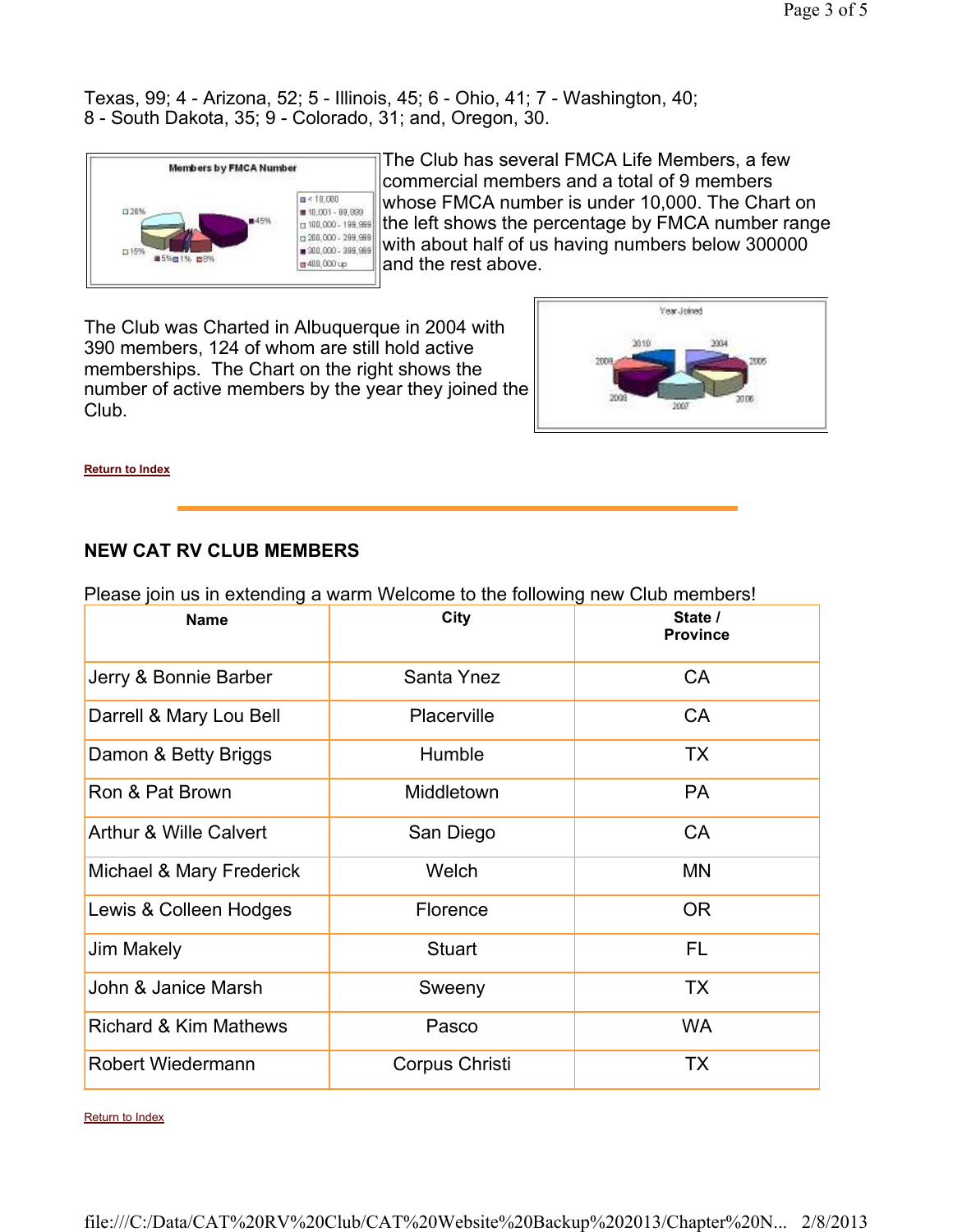Texas, 99; 4 - Arizona, 52; 5 - Illinois, 45; 6 - Ohio, 41; 7 - Washington, 40; 8 - South Dakota, 35; 9 - Colorado, 31; and, Oregon, 30.



The Club has several FMCA Life Members, a few commercial members and a total of 9 members whose FMCA number is under 10,000. The Chart on the left shows the percentage by FMCA number range with about half of us having numbers below 300000 and the rest above.

The Club was Charted in Albuquerque in 2004 with 390 members, 124 of whom are still hold active memberships. The Chart on the right shows the number of active members by the year they joined the Club.



**Return to Index**

#### **NEW CAT RV CLUB MEMBERS**

| <b>Name</b>                       | City           | State /<br><b>Province</b> |
|-----------------------------------|----------------|----------------------------|
| Jerry & Bonnie Barber             | Santa Ynez     | CA                         |
| Darrell & Mary Lou Bell           | Placerville    | <b>CA</b>                  |
| Damon & Betty Briggs              | Humble         | <b>TX</b>                  |
| Ron & Pat Brown                   | Middletown     | <b>PA</b>                  |
| <b>Arthur &amp; Wille Calvert</b> | San Diego      | <b>CA</b>                  |
| Michael & Mary Frederick          | Welch          | MN                         |
| Lewis & Colleen Hodges            | Florence       | <b>OR</b>                  |
| Jim Makely                        | <b>Stuart</b>  | FL                         |
| John & Janice Marsh               | Sweeny         | <b>TX</b>                  |
| <b>Richard &amp; Kim Mathews</b>  | Pasco          | <b>WA</b>                  |
| <b>Robert Wiedermann</b>          | Corpus Christi | <b>TX</b>                  |

Please join us in extending a warm Welcome to the following new Club members!

Return to Index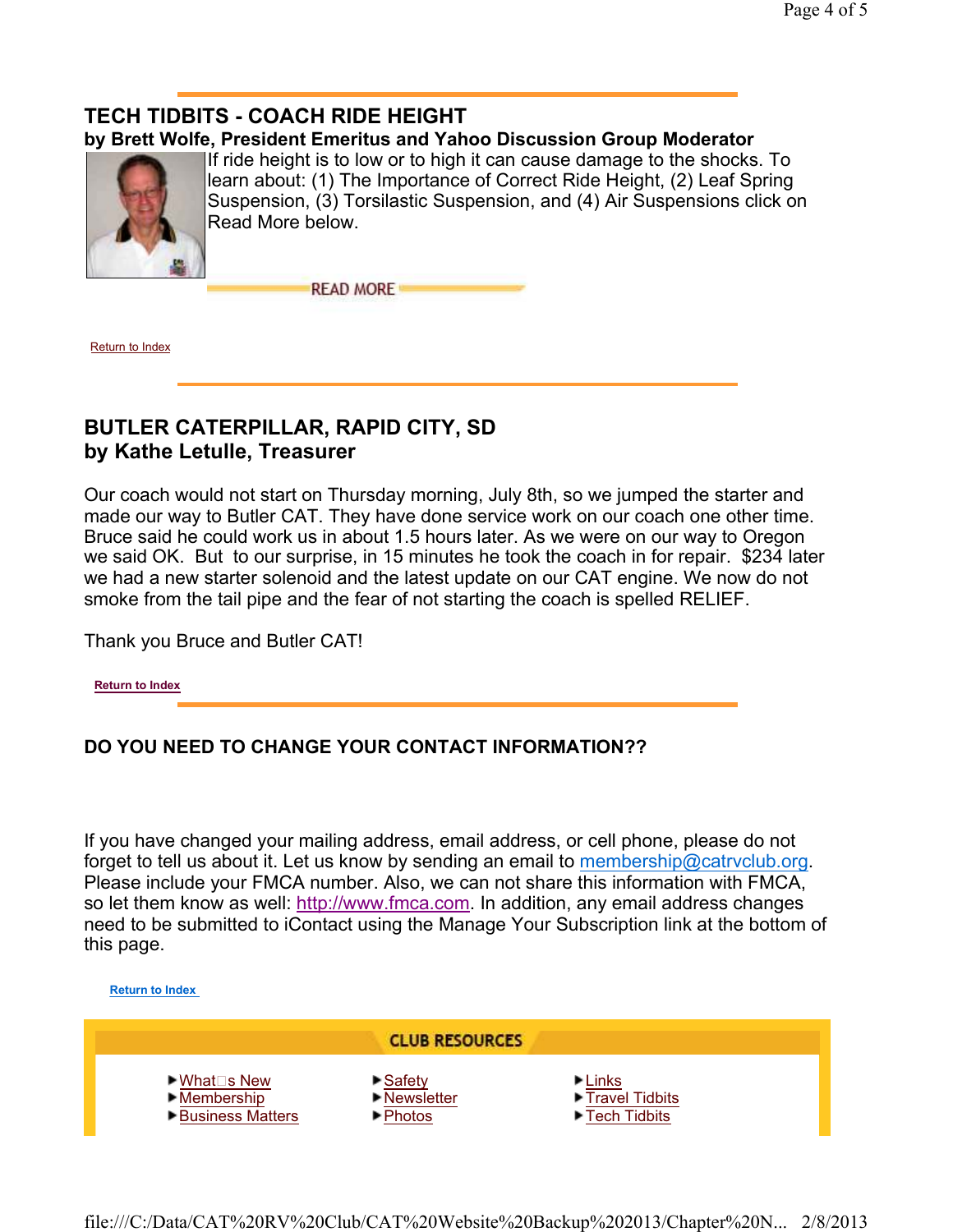## **TECH TIDBITS - COACH RIDE HEIGHT**

#### **by Brett Wolfe, President Emeritus and Yahoo Discussion Group Moderator**



If ride height is to low or to high it can cause damage to the shocks. To learn about: (1) The Importance of Correct Ride Height, (2) Leaf Spring Suspension, (3) Torsilastic Suspension, and (4) Air Suspensions click on Read More below.

**READ MORE** 

Return to Index

#### **BUTLER CATERPILLAR, RAPID CITY, SD by Kathe Letulle, Treasurer**

Our coach would not start on Thursday morning, July 8th, so we jumped the starter and made our way to Butler CAT. They have done service work on our coach one other time. Bruce said he could work us in about 1.5 hours later. As we were on our way to Oregon we said OK. But to our surprise, in 15 minutes he took the coach in for repair. \$234 later we had a new starter solenoid and the latest update on our CAT engine. We now do not smoke from the tail pipe and the fear of not starting the coach is spelled RELIEF.

Thank you Bruce and Butler CAT!

**Return to Index**

#### **DO YOU NEED TO CHANGE YOUR CONTACT INFORMATION??**

If you have changed your mailing address, email address, or cell phone, please do not forget to tell us about it. Let us know by sending an email to membership@catrvclub.org. Please include your FMCA number. Also, we can not share this information with FMCA, so let them know as well: http://www.fmca.com. In addition, any email address changes need to be submitted to iContact using the Manage Your Subscription link at the bottom of this page.

**Return to Index**